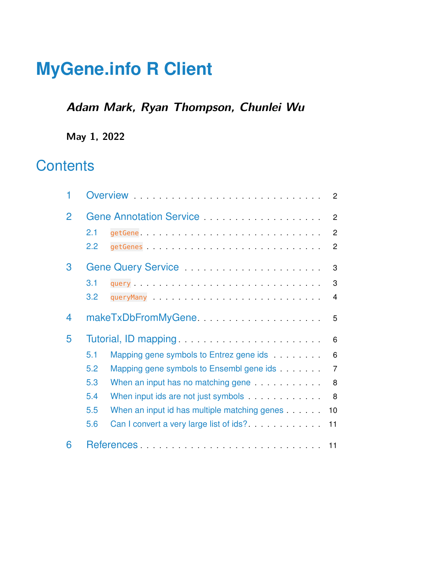# **MyGene.info R Client**

### **Adam Mark, Ryan Thompson, Chunlei Wu**

**May 1, 2022**

## **Contents**

<span id="page-0-0"></span>

| 1              | Overview <b>Exercise Contract Contract Contract Contract Contract Contract Contract Contract Contract Contract Contract Contract Contract Contract Contract Contract Contract Contract Contract Contract Contract Contract Contr</b><br>$\overline{2}$ |  |
|----------------|--------------------------------------------------------------------------------------------------------------------------------------------------------------------------------------------------------------------------------------------------------|--|
| $\overline{2}$ | $\overline{2}$                                                                                                                                                                                                                                         |  |
|                | 2.1<br>2                                                                                                                                                                                                                                               |  |
|                | 2.2<br>$\overline{2}$                                                                                                                                                                                                                                  |  |
| 3              | Gene Query Service <b>Construction</b> Center Construction Construction Construction Construction Construction Construction Construction Construction Construction Construction Construction Construction Construction Construction<br>3               |  |
|                | 3.1<br>3                                                                                                                                                                                                                                               |  |
|                | 3.2<br>4                                                                                                                                                                                                                                               |  |
| 4              | makeTxDbFromMyGene<br>5                                                                                                                                                                                                                                |  |
| 5              | 6                                                                                                                                                                                                                                                      |  |
|                | 5.1<br>Mapping gene symbols to Entrez gene ids<br>6                                                                                                                                                                                                    |  |
|                | 5.2<br>Mapping gene symbols to Ensembl gene ids<br>$\overline{7}$                                                                                                                                                                                      |  |
|                | 5.3<br>When an input has no matching gene <b>with the state of the state of the state of the state of the state of the state of the state of the state of the state of the state of the state of the state of the state of the state of</b><br>8       |  |
|                | 5.4<br>When input ids are not just symbols<br>8                                                                                                                                                                                                        |  |
|                | 5.5<br>When an input id has multiple matching genes<br>10                                                                                                                                                                                              |  |
|                | Can I convert a very large list of ids?<br>5.6<br>11                                                                                                                                                                                                   |  |
| 6              | 11                                                                                                                                                                                                                                                     |  |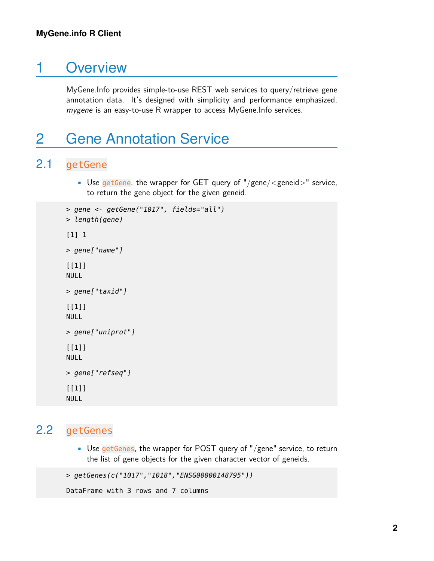### 1 Overview

<span id="page-1-0"></span>MyGene.Info provides simple-to-use REST web services to query/retrieve gene annotation data. It's designed with simplicity and performance emphasized. mygene is an easy-to-use R wrapper to access MyGene.Info services.

### 2 Gene Annotation Service

### 2.1 getGene

<span id="page-1-1"></span>• Use getGene, the wrapper for GET query of "/gene/ $\leq$ geneid $>$ " service, to return the gene object for the given geneid.

```
> gene <- getGene("1017", fields="all")
> length(gene)
[1] 1
> gene["name"]
[1]]
NULL
> gene["taxid"]
[1]]
NULL
> gene["uniprot"]
[1]]
NULL
> gene["refseq"]
[[1]]
NULL
```
#### <span id="page-1-2"></span>2.2 getGenes

• Use getGenes, the wrapper for POST query of "/gene" service, to return the list of gene objects for the given character vector of geneids.

```
> getGenes(c("1017","1018","ENSG00000148795"))
```

```
DataFrame with 3 rows and 7 columns
```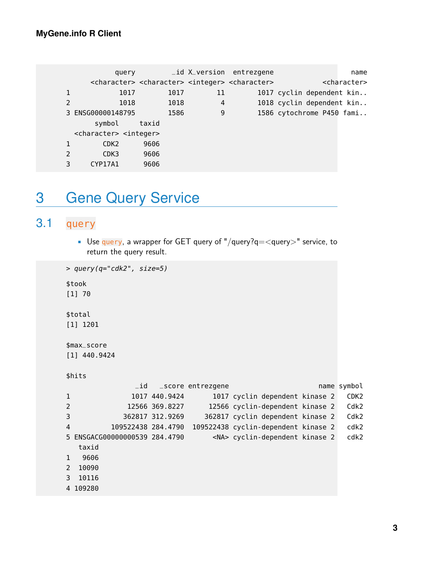query and X\_version entrezgene name name <character> <character> <integer> <character> <character> 1 1017 1017 11 1017 cyclin dependent kin.. 2 1018 1018 4 1018 cyclin dependent kin.. 3 ENSG00000148795 1586 9 1586 cytochrome P450 fami.. symbol taxid <character> <integer> 1 CDK2 9606 2 CDK3 9606 3 CYP17A1 9606

### <span id="page-2-0"></span>3 Gene Query Service

#### 3.1 query

<span id="page-2-1"></span>• Use query, a wrapper for GET query of "/query?q= $\lt$ query>" service, to return the query result.

```
> query(q="cdk2", size=5)
$took
[1] 70
$total
[1] 1201
$max_score
[1] 440.9424
$hits
             _id _score entrezgene name symbol
1 1017 440.9424 1017 cyclin dependent kinase 2 CDK2
2 12566 369.8227 12566 cyclin-dependent kinase 2 Cdk2
3 362817 312.9269 362817 cyclin dependent kinase 2 Cdk2
4 109522438 284.4790 109522438 cyclin-dependent kinase 2 cdk2
5 ENSGACG00000000539 284.4790 <NA> cyclin-dependent kinase 2 cdk2
  taxid
1 9606
2 10090
3 10116
4 109280
```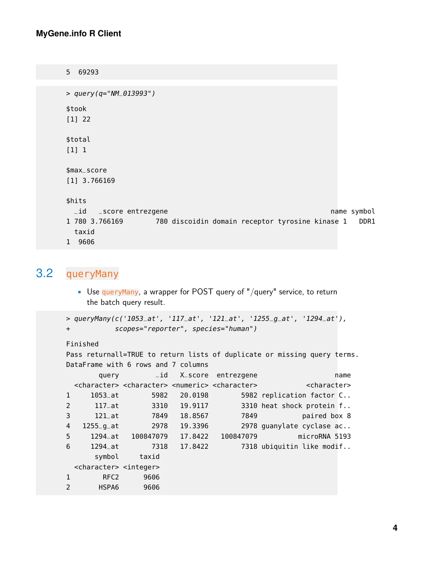#### **MyGene.info R Client**

5 69293 > query(q="NM\_013993") \$took [1] 22 \$total [1] 1 \$max\_score [1] 3.766169 \$hits \_id \_score entrezgene name symbol 1 780 3.766169 780 discoidin domain receptor tyrosine kinase 1 DDR1 taxid 1 9606

#### <span id="page-3-0"></span>3.2 queryMany

• Use queryMany, a wrapper for POST query of "/query" service, to return the batch query result.

```
> queryMany(c('1053_at', '117_at', '121_at', '1255_g_at', '1294_at'),
+ scopes="reporter", species="human")
```

```
Finished
```

```
Pass returnall=TRUE to return lists of duplicate or missing query terms.
DataFrame with 6 rows and 7 columns
      query and X_score entrezgene name name
 <character> <character> <numeric> <character> <character>
1 1053_at 5982 20.0198 5982 replication factor C..
2 117_at 3310 19.9117 3310 heat shock protein f..
3 121_at 7849 18.8567 7849 paired box 8
4 1255_g_at 2978 19.3396 2978 guanylate cyclase ac..
5 1294_at 100847079 17.8422 100847079 microRNA 5193
6 1294_at 7318 17.8422 7318 ubiquitin like modif..
     symbol taxid
 <character> <integer>
1 RFC2 9606
2 HSPA6 9606
```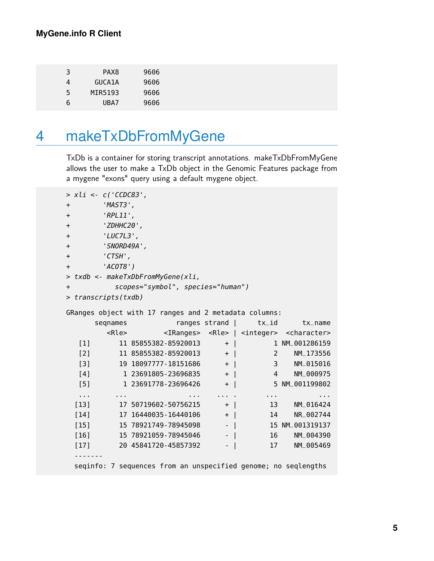| 3 | PAX <sub>8</sub> | 9606 |
|---|------------------|------|
| 4 | GUCA1A           | 9606 |
| 5 | MIR5193          | 9606 |
| b | UBA7             | 9606 |

## <span id="page-4-0"></span>4 makeTxDbFromMyGene

TxDb is a container for storing transcript annotations. makeTxDbFromMyGene allows the user to make a TxDb object in the Genomic Features package from a mygene "exons" query using a default mygene object.

|           | > xli <- c('CCDC83',         |                          |                                   |          |                                                       |                                                                                           |  |  |  |
|-----------|------------------------------|--------------------------|-----------------------------------|----------|-------------------------------------------------------|-------------------------------------------------------------------------------------------|--|--|--|
| $+$       | 'MAST3',                     |                          |                                   |          |                                                       |                                                                                           |  |  |  |
| $+$       | $'RPL11'$ ,                  |                          |                                   |          |                                                       |                                                                                           |  |  |  |
| $+$       | 'ZDHHC20',                   |                          |                                   |          |                                                       |                                                                                           |  |  |  |
| $+$       | $'LUC7L3'$ ,                 |                          |                                   |          |                                                       |                                                                                           |  |  |  |
| $+$       | 'SNORD49A',                  |                          |                                   |          |                                                       |                                                                                           |  |  |  |
| $+$       | $\mathsf{'}\mathsf{CTSH'}$ , |                          |                                   |          |                                                       |                                                                                           |  |  |  |
| $+$       | $'ACOTB'$ )                  |                          |                                   |          |                                                       |                                                                                           |  |  |  |
|           |                              |                          | > txdb <- makeTxDbFromMyGene(xli, |          |                                                       |                                                                                           |  |  |  |
| $+$       |                              |                          | scopes="symbol", species="human") |          |                                                       |                                                                                           |  |  |  |
|           | > transcripts(txdb)          |                          |                                   |          |                                                       |                                                                                           |  |  |  |
|           |                              |                          |                                   |          |                                                       |                                                                                           |  |  |  |
|           |                              |                          |                                   |          | GRanges object with 17 ranges and 2 metadata columns: |                                                                                           |  |  |  |
|           | segnames                     |                          |                                   |          |                                                       | ranges strand   tx_id tx_name                                                             |  |  |  |
|           |                              |                          |                                   |          |                                                       | <rle> <iranges> <rle>   <integer> <character></character></integer></rle></iranges></rle> |  |  |  |
| $[1]$     |                              |                          | 11 85855382-85920013              | $+$      |                                                       | 1 NM_001286159                                                                            |  |  |  |
| [2]       |                              |                          | $11\;85855382 - 85920013$ +       |          |                                                       | 2 NM_173556                                                                               |  |  |  |
| $[3]$     |                              |                          | 19 18097777-18151686 +            |          |                                                       | 3 NM_015016                                                                               |  |  |  |
| [4]       |                              |                          | $1\,23691805 - 23696835$ +        |          | $\sim$ 4                                              | NM_000975                                                                                 |  |  |  |
| [5]       |                              |                          | 1 23691778-23696426 +             |          |                                                       | 5 NM_001199802                                                                            |  |  |  |
| $\sim 10$ |                              | <b>Contract Contract</b> |                                   | .        | and the contract of the                               | .                                                                                         |  |  |  |
|           |                              |                          | $[13] 17 50719602 - 50756215$     | $+$      |                                                       | 13 NM_016424                                                                              |  |  |  |
| $[14]$    |                              |                          | $17 \t16440035 - 16440106 +  $    |          |                                                       | 14 NR_002744                                                                              |  |  |  |
| $[15]$    |                              |                          | 15 78921749-78945098              | $-$      |                                                       | 15 NM_001319137                                                                           |  |  |  |
| $[16]$    |                              |                          | 15 78921059 - 78945046            | $ \vert$ |                                                       | 16<br>NM_004390                                                                           |  |  |  |
| $[17]$    |                              |                          | 20 45841720-45857392              | $-$      |                                                       | NM_005469<br>17                                                                           |  |  |  |
|           |                              |                          |                                   |          |                                                       |                                                                                           |  |  |  |
|           |                              |                          |                                   |          |                                                       | seqinfo: 7 sequences from an unspecified genome; no seqlengths                            |  |  |  |
|           |                              |                          |                                   |          |                                                       |                                                                                           |  |  |  |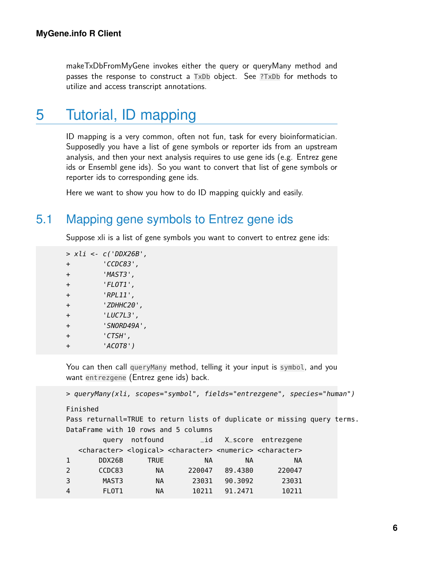<span id="page-5-0"></span>makeTxDbFromMyGene invokes either the query or queryMany method and passes the response to construct a TxDb object. See ?TxDb for methods to utilize and access transcript annotations.

### 5 Tutorial, ID mapping

ID mapping is a very common, often not fun, task for every bioinformatician. Supposedly you have a list of gene symbols or reporter ids from an upstream analysis, and then your next analysis requires to use gene ids (e.g. Entrez gene ids or Ensembl gene ids). So you want to convert that list of gene symbols or reporter ids to corresponding gene ids.

<span id="page-5-1"></span>Here we want to show you how to do ID mapping quickly and easily.

#### 5.1 Mapping gene symbols to Entrez gene ids

Suppose xli is a list of gene symbols you want to convert to entrez gene ids:

> xli <- c('DDX26B', + 'CCDC83', + 'MAST3', + 'FLOT1', + 'RPL11', + 'ZDHHC20', + 'LUC7L3', + 'SNORD49A', + 'CTSH', + 'ACOT8')

You can then call queryMany method, telling it your input is symbol, and you want entrezgene (Entrez gene ids) back.

> queryMany(xli, scopes="symbol", fields="entrezgene", species="human")

Finished

Pass returnall=TRUE to return lists of duplicate or missing query terms. DataFrame with 10 rows and 5 columns

|                | query notfound |             |                                                                                                                 |         | $_id$ X score entrezgene |  |
|----------------|----------------|-------------|-----------------------------------------------------------------------------------------------------------------|---------|--------------------------|--|
|                |                |             | <character> <logical> <character> <numeric> <character></character></numeric></character></logical></character> |         |                          |  |
| -1             | DDX26B         | <b>TRUE</b> | NА                                                                                                              | NА      | NА                       |  |
| 2              | CCDC83         | <b>NA</b>   | 220047                                                                                                          | 89.4380 | 220047                   |  |
| 3              | MAST3          | <b>NA</b>   | 23031                                                                                                           | 90.3092 | 23031                    |  |
| $\overline{4}$ | FLOT1          | NА          | 10211                                                                                                           | 91.2471 | 10211                    |  |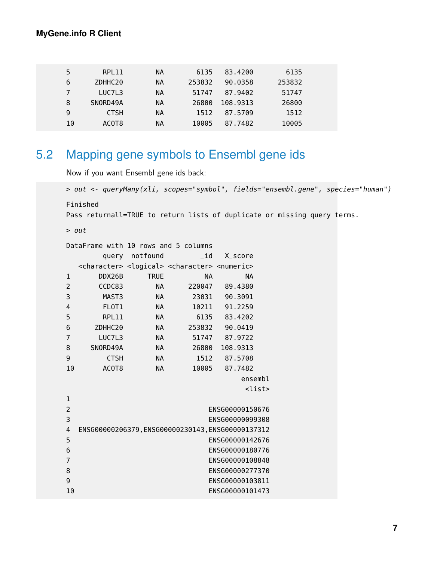#### **MyGene.info R Client**

| 5  | RPL11       | <b>NA</b> | 6135   | 83.4200  | 6135   |
|----|-------------|-----------|--------|----------|--------|
| 6  | ZDHHC20     | <b>NA</b> | 253832 | 90.0358  | 253832 |
|    | LUC7L3      | <b>NA</b> | 51747  | 87.9402  | 51747  |
| 8  | SNORD49A    | <b>NA</b> | 26800  | 108.9313 | 26800  |
| 9  | <b>CTSH</b> | <b>NA</b> | 1512   | 87.5709  | 1512   |
| 10 | ACOT8       | ΝA        | 10005  | 87.7482  | 10005  |

### <span id="page-6-0"></span>5.2 Mapping gene symbols to Ensembl gene ids

Now if you want Ensembl gene ids back:

```
> out <- queryMany(xli, scopes="symbol", fields="ensembl.gene", species="human")
Finished
Pass returnall=TRUE to return lists of duplicate or missing query terms.
> out
DataFrame with 10 rows and 5 columns
     query notfound _id X_score
 <character> <logical> <character> <numeric>
1 DDX26B TRUE NA NA
2 CCDC83 NA 220047 89.4380
3 MAST3 NA 23031 90.3091
4 FLOT1 NA 10211 91.2259
5 RPL11 NA 6135 83.4202
6 ZDHHC20 NA 253832 90.0419
7 LUC7L3 NA 51747 87.9722
8 SNORD49A NA 26800 108.9313
9 CTSH NA 1512 87.5708
10 ACOT8 NA 10005 87.7482
                          ensembl
                          <list>
1
2 ENSG00000150676
3 ENSG00000099308
4 ENSG00000206379,ENSG00000230143,ENSG00000137312
5 ENSG00000142676
6 ENSG00000180776
7 ENSG00000108848
8 ENSG00000277370
9 ENSG00000103811
10 ENSG00000101473
```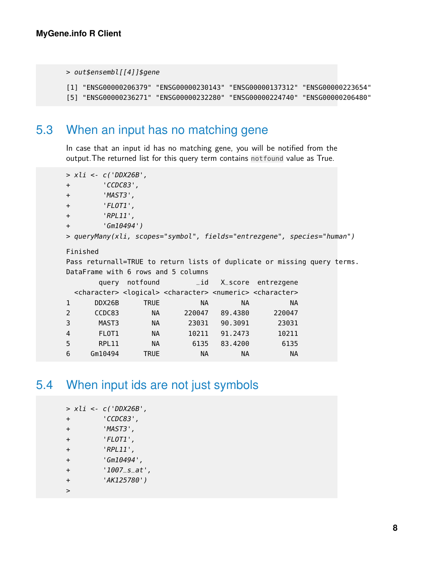```
> out$ensembl[[4]]$gene
```

```
[1] "ENSG00000206379" "ENSG00000230143" "ENSG00000137312" "ENSG00000223654"
[5] "ENSG00000236271" "ENSG00000232280" "ENSG00000224740" "ENSG00000206480"
```
### 5.3 When an input has no matching gene

In case that an input id has no matching gene, you will be notified from the output.The returned list for this query term contains notfound value as True.

```
> xli <- c('DDX26B',
+ 'CCDC83',
+ 'MAST3',
+ 'FLOT1',
+ 'RPL11',
+ 'Gm10494')
> queryMany(xli, scopes="symbol", fields="entrezgene", species="human")
Finished
Pass returnall=TRUE to return lists of duplicate or missing query terms.
DataFrame with 6 rows and 5 columns
     query notfound _id X_score entrezgene
 <character> <logical> <character> <numeric> <character>
1 DDX26B TRUE NA NA NA
2 CCDC83 NA 220047 89.4380 220047
3 MAST3 NA 23031 90.3091 23031
4 FLOT1 NA 10211 91.2473 10211
5 RPL11 NA 6135 83.4200 6135
6 Gm10494 TRUE NA NA NA
```
### <span id="page-7-1"></span>5.4 When input ids are not just symbols

|              |  | > xli <- c('DDX26B', |
|--------------|--|----------------------|
| $\ddot{}$    |  | 'CCDC83',            |
| $\ddot{}$    |  | 'MAST3',             |
| $+$          |  | 'FLOT1',             |
| $+$          |  | $'RPL11'$ ,          |
| $\ddot{}$    |  | 'Gm10494',           |
| $+$          |  | $'1007$ _s_at',      |
| $+$          |  | 'AK125780')          |
| $\mathbf{r}$ |  |                      |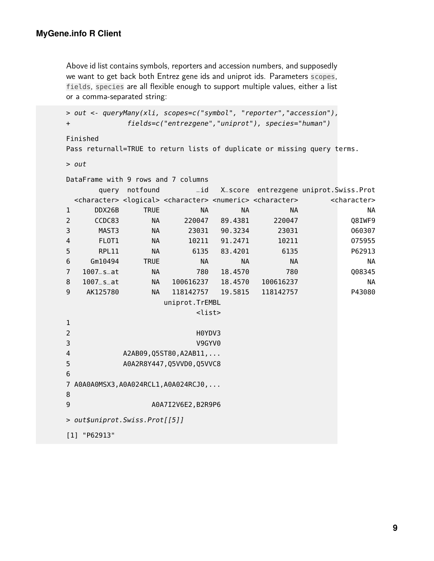Above id list contains symbols, reporters and accession numbers, and supposedly we want to get back both Entrez gene ids and uniprot ids. Parameters scopes, fields, species are all flexible enough to support multiple values, either a list or a comma-separated string:

```
> out <- queryMany(xli, scopes=c("symbol", "reporter","accession"),
+ fields=c("entrezgene","uniprot"), species="human")
```
Finished

Pass returnall=TRUE to return lists of duplicate or missing query terms.

> out

|                                                    | DataFrame with 9 rows and 7 columns   |                |                                                                                                                 |               |                                       |  |                         |  |  |
|----------------------------------------------------|---------------------------------------|----------------|-----------------------------------------------------------------------------------------------------------------|---------------|---------------------------------------|--|-------------------------|--|--|
|                                                    |                                       | query notfound | $-i$ d                                                                                                          |               | X_score entrezgene uniprot.Swiss.Prot |  |                         |  |  |
|                                                    |                                       |                | <character> <logical> <character> <numeric> <character></character></numeric></character></logical></character> |               |                                       |  | <character></character> |  |  |
| $\mathbf 1$                                        | DDX26B                                | <b>TRUE</b>    | <b>NA</b>                                                                                                       | <b>NA</b>     | <b>NA</b>                             |  | <b>NA</b>               |  |  |
| $\overline{2}$                                     | CCDC83                                | <b>NA</b>      | 220047                                                                                                          | 89.4381       | 220047                                |  | Q8IWF9                  |  |  |
| 3                                                  | MAST3                                 | <b>NA</b>      | 23031                                                                                                           | 90.3234       | 23031                                 |  | 060307                  |  |  |
| $\overline{\mathbf{4}}$                            | FL0T1                                 | <b>NA</b>      |                                                                                                                 | 10211 91.2471 | 10211                                 |  | 075955                  |  |  |
| 5                                                  | RPL11                                 | <b>NA</b>      | 6135                                                                                                            | 83.4201       | 6135                                  |  | P62913                  |  |  |
| 6                                                  | Gm10494                               | <b>TRUE</b>    | <b>NA</b>                                                                                                       | <b>NA</b>     | <b>NA</b>                             |  | <b>NA</b>               |  |  |
| $\overline{7}$                                     | $1007$ _s_at                          | <b>NA</b>      | 780                                                                                                             | 18.4570       | 780                                   |  | Q08345                  |  |  |
| 8                                                  | $1007$ _s_at                          | NA             | 100616237                                                                                                       | 18.4570       | 100616237                             |  | <b>NA</b>               |  |  |
| 9                                                  | AK125780                              | NA.            | 118142757                                                                                                       | 19.5815       | 118142757                             |  | P43080                  |  |  |
|                                                    |                                       |                | uniprot.TrEMBL                                                                                                  |               |                                       |  |                         |  |  |
| <list></list>                                      |                                       |                |                                                                                                                 |               |                                       |  |                         |  |  |
| $\mathbf 1$                                        |                                       |                |                                                                                                                 |               |                                       |  |                         |  |  |
| $\overline{2}$<br>H0YDV3                           |                                       |                |                                                                                                                 |               |                                       |  |                         |  |  |
| 3<br>V9GYV0                                        |                                       |                |                                                                                                                 |               |                                       |  |                         |  |  |
| A2AB09, Q5ST80, A2AB11,<br>$\overline{\mathbf{4}}$ |                                       |                |                                                                                                                 |               |                                       |  |                         |  |  |
| 5                                                  | A0A2R8Y447, Q5VVD0, Q5VVC8            |                |                                                                                                                 |               |                                       |  |                         |  |  |
| 6                                                  |                                       |                |                                                                                                                 |               |                                       |  |                         |  |  |
|                                                    | 7 A0A0A0MSX3, A0A024RCL1, A0A024RCJ0, |                |                                                                                                                 |               |                                       |  |                         |  |  |
| 8                                                  |                                       |                |                                                                                                                 |               |                                       |  |                         |  |  |
| 9<br>A0A7I2V6E2, B2R9P6                            |                                       |                |                                                                                                                 |               |                                       |  |                         |  |  |
| > out\$uniprot.Swiss.Prot[[5]]                     |                                       |                |                                                                                                                 |               |                                       |  |                         |  |  |
|                                                    |                                       |                |                                                                                                                 |               |                                       |  |                         |  |  |
|                                                    |                                       |                |                                                                                                                 |               |                                       |  |                         |  |  |

<span id="page-8-0"></span>[1] "P62913"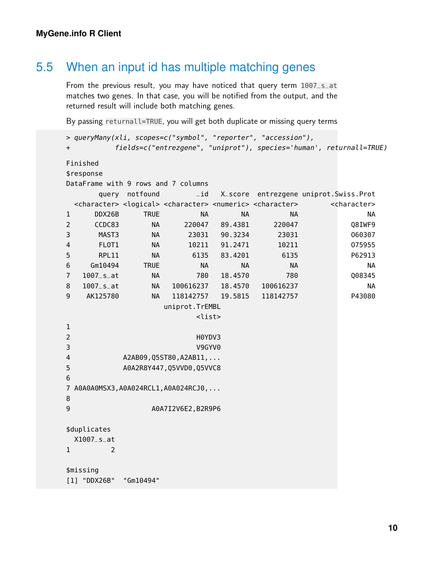### 5.5 When an input id has multiple matching genes

From the previous result, you may have noticed that query term 1007\_s\_at matches two genes. In that case, you will be notified from the output, and the returned result will include both matching genes.

By passing returnall=TRUE, you will get both duplicate or missing query terms

```
> queryMany(xli, scopes=c("symbol", "reporter", "accession"),
+ fields=c("entrezgene", "uniprot"), species='human', returnall=TRUE)
Finished
$response
DataFrame with 9 rows and 7 columns
     query notfound _id X_score entrezgene uniprot.Swiss.Prot
 <character> <logical> <character> <numeric> <character> <character>
1 DDX26B TRUE NA NA NA NA
2 CCDC83 NA 220047 89.4381 220047 Q8IWF9
3 MAST3 NA 23031 90.3234 23031 O60307
4 FLOT1 NA 10211 91.2471 10211 O75955
5 RPL11 NA 6135 83.4201 6135 P62913
6 Gm10494 TRUE NA NA NA NA
7 1007_s_at NA 780 18.4570 780 Q08345
8 1007_s_at NA 100616237 18.4570 100616237 NA
9 AK125780 NA 118142757 19.5815 118142757 P43080
               uniprot.TrEMBL
                    <list>
1
2 H0YDV3
3 V9GYV0
4 A2AB09,Q5ST80,A2AB11,...
5 A0A2R8Y447,Q5VVD0,Q5VVC8
6
7 A0A0A0MSX3,A0A024RCL1,A0A024RCJ0,...
8
9 A0A7I2V6E2, B2R9P6
$duplicates
 X1007_s_at
1 2
$missing
[1] "DDX26B" "Gm10494"
```